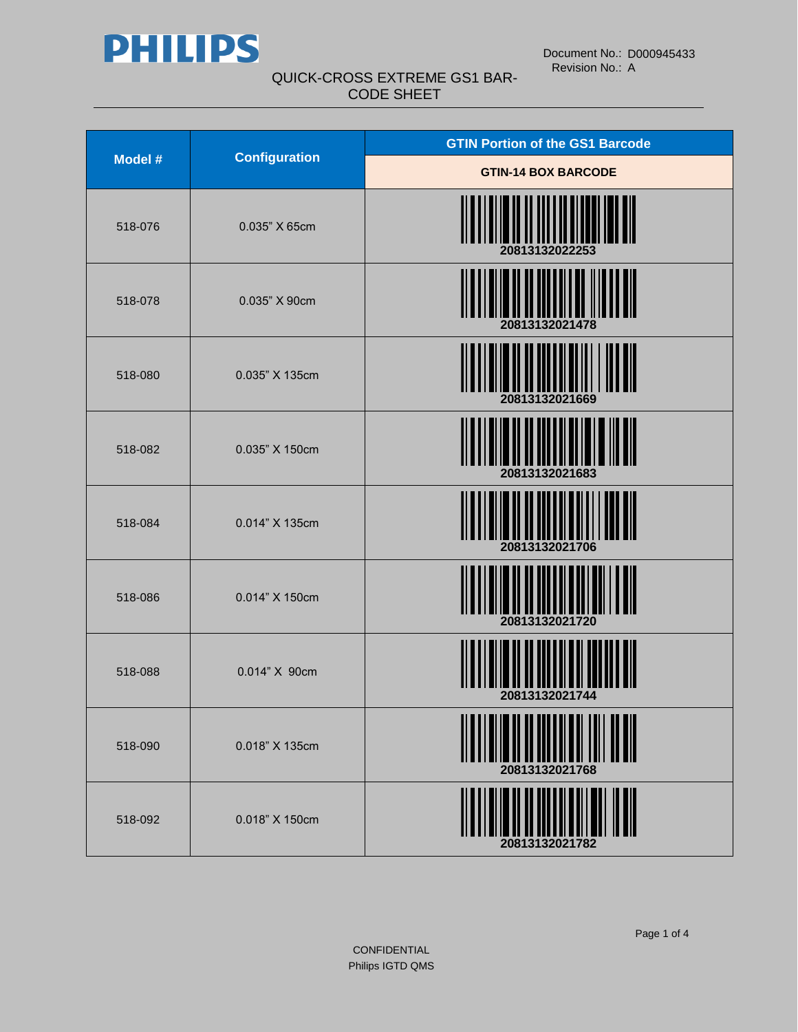

| Model # | <b>Configuration</b> | <b>GTIN Portion of the GS1 Barcode</b> |
|---------|----------------------|----------------------------------------|
|         |                      | <b>GTIN-14 BOX BARCODE</b>             |
| 518-076 | 0.035" X 65cm        | 20813132022253                         |
| 518-078 | 0.035" X 90cm        |                                        |
| 518-080 | 0.035" X 135cm       | 20813132021669                         |
| 518-082 | 0.035" X 150cm       | 20813132021683                         |
| 518-084 | 0.014" X 135cm       | 20813132021706                         |
| 518-086 | 0.014" X 150cm       | 20813132021720                         |
| 518-088 | 0.014" X 90cm        | 20813132021744                         |
| 518-090 | 0.018" X 135cm       | <u> A ANTINI ANNI ANN</u>              |
| 518-092 | 0.018" X 150cm       | ║║                                     |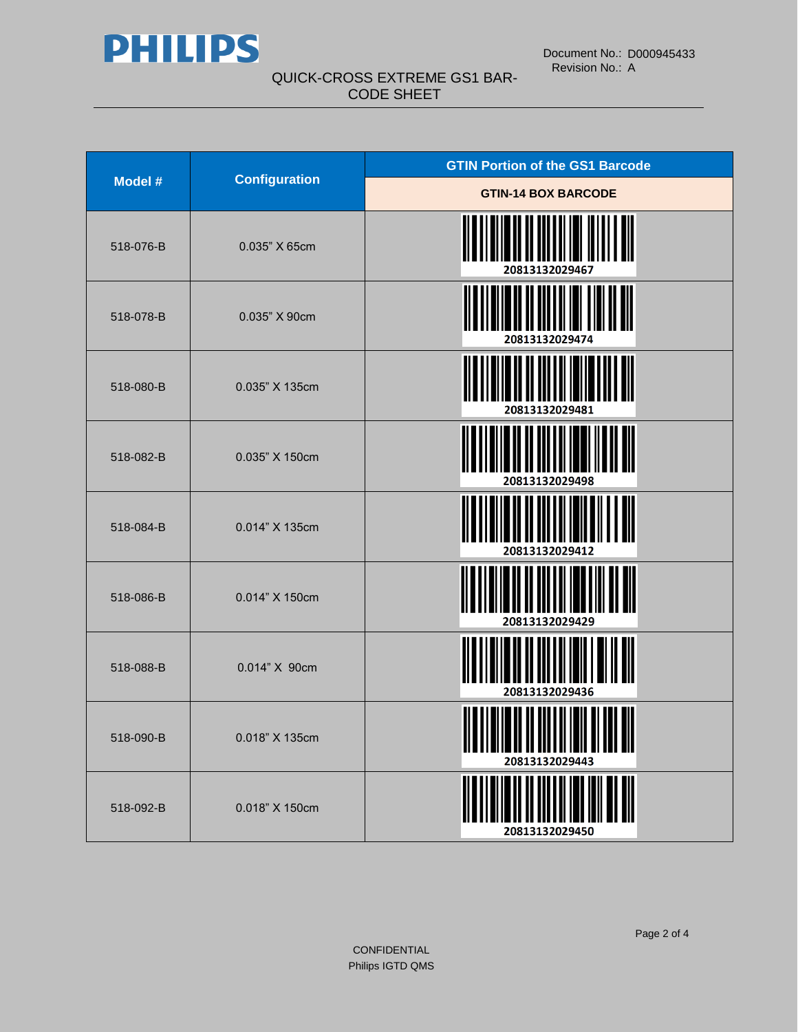

| <b>Model #</b> | <b>Configuration</b>     | <b>GTIN Portion of the GS1 Barcode</b> |
|----------------|--------------------------|----------------------------------------|
|                |                          | <b>GTIN-14 BOX BARCODE</b>             |
| 518-076-B      | 0.035" X 65cm            | 20813132029467                         |
| 518-078-B      | 0.035" X 90cm            | 20813132029474                         |
| 518-080-B      | 0.035" X 135cm           | 20813132029481                         |
| 518-082-B      | 0.035" X 150cm           | 20813132029498                         |
| 518-084-B      | 0.014" X 135cm           | 20813132029412                         |
| 518-086-B      | 0.014" X 150cm           | 20813132029429                         |
| 518-088-B      | 0.014" X 90cm            | 20813132029436                         |
| 518-090-B      | $0.018$ " $\times$ 135cm | 20813132029443                         |
| 518-092-B      | 0.018" X 150cm           | 20813132029450                         |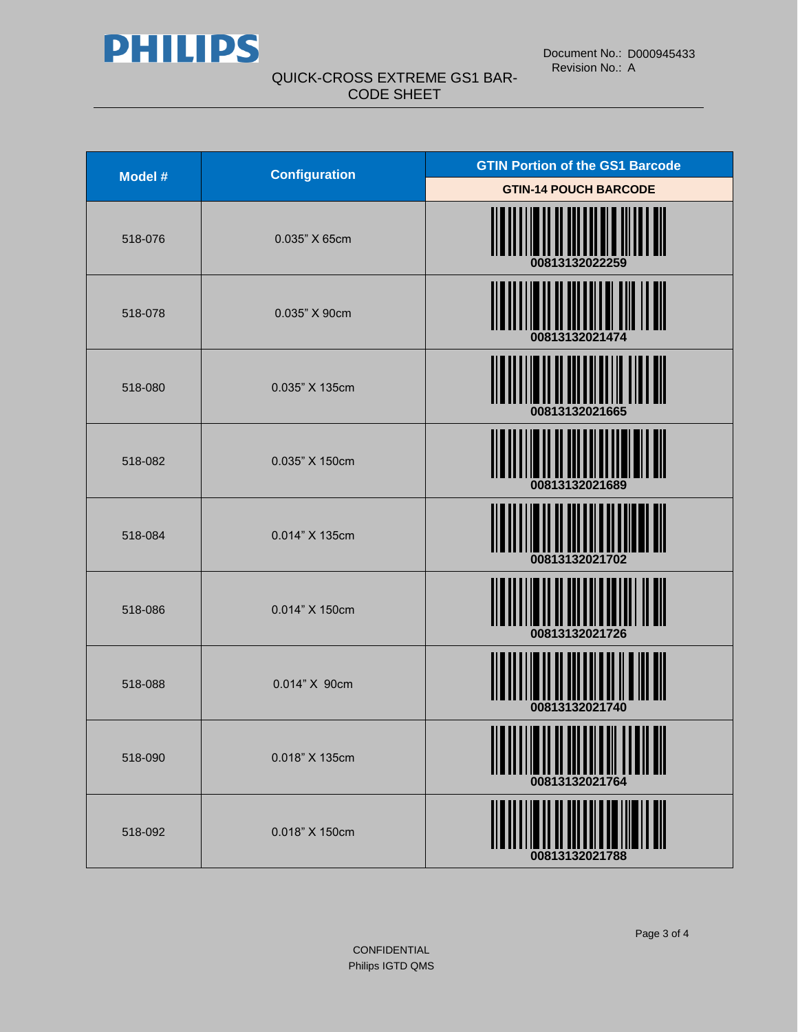

| Model # | <b>Configuration</b> | <b>GTIN Portion of the GS1 Barcode</b> |
|---------|----------------------|----------------------------------------|
|         |                      | <b>GTIN-14 POUCH BARCODE</b>           |
| 518-076 | 0.035" X 65cm        | 00813132022259                         |
| 518-078 | 0.035" X 90cm        | 00813132021474                         |
| 518-080 | 0.035" X 135cm       | 00813132021665                         |
| 518-082 | 0.035" X 150cm       | 00813132021689                         |
| 518-084 | 0.014" X 135cm       | 00813132021702                         |
| 518-086 | 0.014" X 150cm       | 00813132021726                         |
| 518-088 | 0.014" X 90cm        | 00813132021740                         |
| 518-090 | 0.018" X 135cm       | <b>ATTIONING</b><br>00813132021764     |
| 518-092 | 0.018" X 150cm       | ║║<br>00813132021788                   |